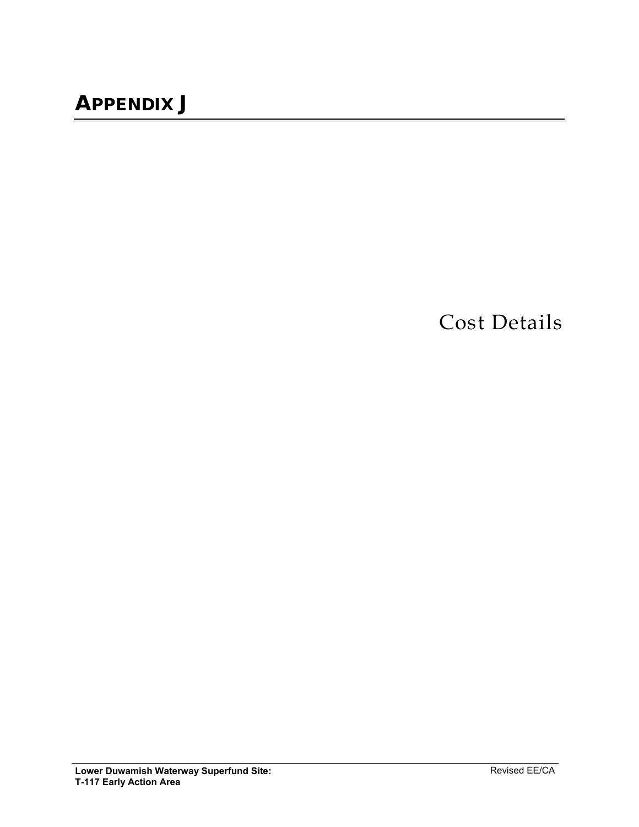Cost Details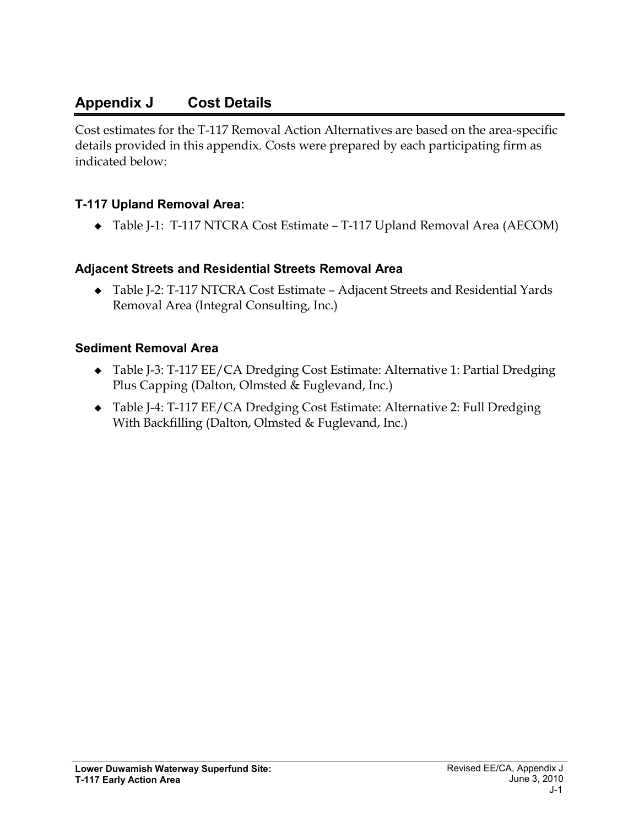# **Appendix J Cost Details**

Cost estimates for the T-117 Removal Action Alternatives are based on the area-specific details provided in this appendix. Costs were prepared by each participating firm as indicated below:

## **T-117 Upland Removal Area:**

Table J-1: T-117 NTCRA Cost Estimate – T-117 Upland Removal Area (AECOM)

## **Adjacent Streets and Residential Streets Removal Area**

 Table J-2: T-117 NTCRA Cost Estimate – Adjacent Streets and Residential Yards Removal Area (Integral Consulting, Inc.)

## **Sediment Removal Area**

- ◆ Table J-3: T-117 EE/CA Dredging Cost Estimate: Alternative 1: Partial Dredging Plus Capping (Dalton, Olmsted & Fuglevand, Inc.)
- Table J-4: T-117 EE/CA Dredging Cost Estimate: Alternative 2: Full Dredging With Backfilling (Dalton, Olmsted & Fuglevand, Inc.)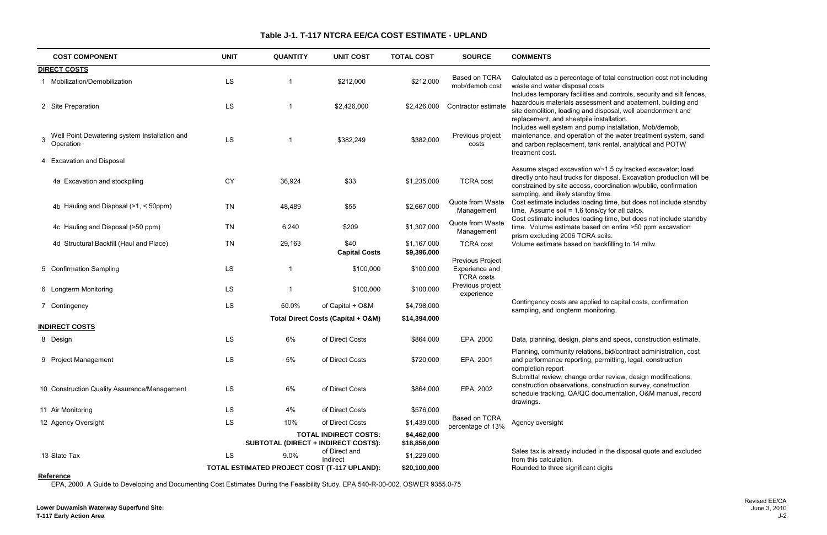total construction cost not including

- Includes temporary and silt fences, ent and abatement, building and posal, well abandonment and replacement, and sheetpile installation.
- installation, Mob/demob,
- the water treatment system, sand rental, analytical and POTW

-1.5 cy tracked excavator; load oosal. Excavation production will be rdination w/public, confirmation

- time, but does not include standby  $\sqrt{6}$  for all calcs.
- time, but does not include standby on entire >50 ppm excavation<br>bils.
- 

nd specs, construction estimate.

bid/contract administration, cost mitting, legal, construction

 $r$  review, design modifications, struction survey, construction umentation, O&M manual, record

Indirect and excluded the disposal quote and excluded<br>gits

|                       | <b>COST COMPONENT</b>                         | <b>UNIT</b> | <b>QUANTITY</b> | <b>UNIT COST</b>                             | <b>TOTAL COST</b>          | <b>SOURCE</b>                                           | <b>COMMENTS</b>                                                                                                                                                                                                                |
|-----------------------|-----------------------------------------------|-------------|-----------------|----------------------------------------------|----------------------------|---------------------------------------------------------|--------------------------------------------------------------------------------------------------------------------------------------------------------------------------------------------------------------------------------|
| <b>DIRECT COSTS</b>   |                                               |             |                 |                                              |                            |                                                         |                                                                                                                                                                                                                                |
|                       | Mobilization/Demobilization                   | LS          |                 | \$212,000                                    | \$212,000                  | Based on TCRA<br>mob/demob cost                         | Calculated as a percentage of total construction cost not inc<br>waste and water disposal costs<br>Includes temporary facilities and controls, security and silt fe                                                            |
| 2 Site Preparation    |                                               | LS          |                 | \$2,426,000                                  | \$2,426,000                | Contractor estimate                                     | hazardouis materials assessment and abatement, building a<br>site demolition, loading and disposal, well abandonment and<br>replacement, and sheetpile installation.<br>Includes well system and pump installation, Mob/demob, |
| Operation             | Well Point Dewatering system Installation and | LS          |                 | \$382,249                                    | \$382,000                  | Previous project<br>costs                               | maintenance, and operation of the water treatment system,<br>and carbon replacement, tank rental, analytical and POTW<br>treatment cost.                                                                                       |
|                       | 4 Excavation and Disposal                     |             |                 |                                              |                            |                                                         | Assume staged excavation w/~1.5 cy tracked excavator; loa                                                                                                                                                                      |
|                       | 4a Excavation and stockpiling                 | <b>CY</b>   | 36,924          | \$33                                         | \$1,235,000                | <b>TCRA cost</b>                                        | directly onto haul trucks for disposal. Excavation production<br>constrained by site access, coordination w/public, confirmati<br>sampling, and likely standby time.                                                           |
|                       | 4b Hauling and Disposal (>1, < 50ppm)         | <b>TN</b>   | 48,489          | \$55                                         | \$2,667,000                | Quote from Waste<br>Management                          | Cost estimate includes loading time, but does not include st<br>time. Assume soil = $1.6$ tons/cy for all calcs.                                                                                                               |
|                       | 4c Hauling and Disposal (>50 ppm)             | <b>TN</b>   | 6,240           | \$209                                        | \$1,307,000                | Quote from Waste<br>Management                          | Cost estimate includes loading time, but does not include sta<br>time. Volume estimate based on entire >50 ppm excavation<br>prism excluding 2006 TCRA soils.                                                                  |
|                       | 4d Structural Backfill (Haul and Place)       | <b>TN</b>   | 29,163          | \$40<br><b>Capital Costs</b>                 | \$1,167,000<br>\$9,396,000 | <b>TCRA cost</b>                                        | Volume estimate based on backfilling to 14 mllw.                                                                                                                                                                               |
|                       | 5 Confirmation Sampling                       | LS          |                 | \$100,000                                    | \$100,000                  | Previous Project<br>Experience and<br><b>TCRA costs</b> |                                                                                                                                                                                                                                |
|                       | 6 Longterm Monitoring                         | <b>LS</b>   |                 | \$100,000                                    | \$100,000                  | Previous project<br>experience                          |                                                                                                                                                                                                                                |
| 7 Contingency         |                                               | <b>LS</b>   | 50.0%           | of Capital + O&M                             | \$4,798,000                |                                                         | Contingency costs are applied to capital costs, confirmation<br>sampling, and longterm monitoring.                                                                                                                             |
|                       |                                               |             |                 | Total Direct Costs (Capital + O&M)           | \$14,394,000               |                                                         |                                                                                                                                                                                                                                |
| <b>INDIRECT COSTS</b> |                                               |             |                 |                                              |                            |                                                         |                                                                                                                                                                                                                                |
| 8 Design              |                                               | <b>LS</b>   | 6%              | of Direct Costs                              | \$864,000                  | EPA, 2000                                               | Data, planning, design, plans and specs, construction estim                                                                                                                                                                    |
|                       | 9 Project Management                          | <b>LS</b>   | 5%              | of Direct Costs                              | \$720,000                  | EPA, 2001                                               | Planning, community relations, bid/contract administration, or<br>and performance reporting, permitting, legal, construction<br>completion report<br>Submittal review, change order review, design modifications               |
|                       | 10 Construction Quality Assurance/Management  | <b>LS</b>   | 6%              | of Direct Costs                              | \$864,000                  | EPA, 2002                                               | construction observations, construction survey, construction<br>schedule tracking, QA/QC documentation, O&M manual, re<br>drawings.                                                                                            |
| 11 Air Monitoring     |                                               | <b>LS</b>   | 4%              | of Direct Costs                              | \$576,000                  |                                                         |                                                                                                                                                                                                                                |
| 12 Agency Oversight   |                                               | LS          | 10%             | of Direct Costs                              | \$1,439,000                | Based on TCRA<br>percentage of 13%                      | Agency oversight                                                                                                                                                                                                               |
|                       |                                               |             |                 | <b>TOTAL INDIRECT COSTS:</b>                 | \$4,462,000                |                                                         |                                                                                                                                                                                                                                |
|                       |                                               |             |                 | SUBTOTAL (DIRECT + INDIRECT COSTS):          | \$18,856,000               |                                                         |                                                                                                                                                                                                                                |
| 13 State Tax          |                                               | <b>LS</b>   | 9.0%            | of Direct and<br>Indirect                    | \$1,229,000                |                                                         | Sales tax is already included in the disposal quote and exclu<br>from this calculation.                                                                                                                                        |
|                       |                                               |             |                 | TOTAL ESTIMATED PROJECT COST (T-117 UPLAND): | \$20,100,000               |                                                         | Rounded to three significant digits                                                                                                                                                                                            |

**Reference**

EPA, 2000. A Guide to Developing and Documenting Cost Estimates During the Feasibility Study. EPA 540-R-00-002. OSWER 9355.0-75

### **Table J-1. T-117 NTCRA EE/CA COST ESTIMATE - UPLAND**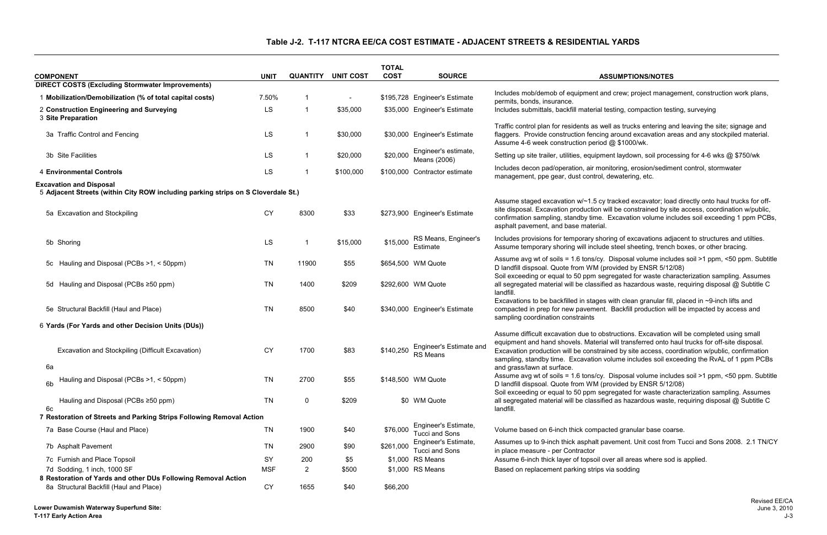# **Table J-2. T-117 NTCRA EE/CA COST ESTIMATE - ADJACENT STREETS & RESIDENTIAL YARDS**

#### **COST SOURCE ASSUMPTIONS/NOTES**

| <b>COMPONENT</b>                                                                                                    | <b>UNIT</b> | <b>QUANTITY</b> | <b>UNIT COST</b> | <b>TOTAL</b><br><b>COST</b> | <b>SOURCE</b>                              | <b>ASSUMPTIONS/NOTES</b>                                                                                                                                                                                                                                                                                                                                                                                              |
|---------------------------------------------------------------------------------------------------------------------|-------------|-----------------|------------------|-----------------------------|--------------------------------------------|-----------------------------------------------------------------------------------------------------------------------------------------------------------------------------------------------------------------------------------------------------------------------------------------------------------------------------------------------------------------------------------------------------------------------|
| <b>DIRECT COSTS (Excluding Stormwater Improvements)</b>                                                             |             |                 |                  |                             |                                            |                                                                                                                                                                                                                                                                                                                                                                                                                       |
| 1 Mobilization/Demobilization (% of total capital costs)                                                            | 7.50%       |                 | $\blacksquare$   |                             | \$195,728 Engineer's Estimate              | Includes mob/demob of equipment and crew; project management, construction work plans,<br>permits, bonds, insurance.                                                                                                                                                                                                                                                                                                  |
| 2 Construction Engineering and Surveying<br>3 Site Preparation                                                      | LS          |                 | \$35,000         |                             | \$35,000 Engineer's Estimate               | Includes submittals, backfill material testing, compaction testing, surveying                                                                                                                                                                                                                                                                                                                                         |
| 3a Traffic Control and Fencing                                                                                      | <b>LS</b>   |                 | \$30,000         |                             | \$30,000 Engineer's Estimate               | Traffic control plan for residents as well as trucks entering and leaving the site; signage and<br>flaggers. Provide construction fencing around excavation areas and any stockpiled material.<br>Assume 4-6 week construction period @ \$1000/wk.                                                                                                                                                                    |
| 3b Site Facilities                                                                                                  | <b>LS</b>   |                 | \$20,000         | \$20,000                    | Engineer's estimate,<br>Means (2006)       | Setting up site trailer, utilities, equipment laydown, soil processing for 4-6 wks @ \$750/wk                                                                                                                                                                                                                                                                                                                         |
| <b>4 Environmental Controls</b>                                                                                     | LS          |                 | \$100,000        |                             | \$100,000 Contractor estimate              | Includes decon pad/operation, air monitoring, erosion/sediment control, stormwater<br>management, ppe gear, dust control, dewatering, etc.                                                                                                                                                                                                                                                                            |
| <b>Excavation and Disposal</b><br>5 Adjacent Streets (within City ROW including parking strips on S Cloverdale St.) |             |                 |                  |                             |                                            |                                                                                                                                                                                                                                                                                                                                                                                                                       |
| 5a Excavation and Stockpiling                                                                                       | <b>CY</b>   | 8300            | \$33             |                             | \$273,900 Engineer's Estimate              | Assume staged excavation w/~1.5 cy tracked excavator; load directly onto haul trucks for off-<br>site disposal. Excavation production will be constrained by site access, coordination w/public,<br>confirmation sampling, standby time. Excavation volume includes soil exceeding 1 ppm PCBs,<br>asphalt pavement, and base material.                                                                                |
| 5b Shoring                                                                                                          | LS          |                 | \$15,000         | \$15,000                    | RS Means, Engineer's<br>Estimate           | Includes provisions for temporary shoring of excavations adjacent to structures and utilties.<br>Assume temporary shoring will include steel sheeting, trench boxes, or other bracing.                                                                                                                                                                                                                                |
| 5c Hauling and Disposal (PCBs >1, < 50ppm)                                                                          | <b>TN</b>   | 11900           | \$55             |                             | \$654,500 WM Quote                         | Assume avg wt of soils = 1.6 tons/cy. Disposal volume includes soil >1 ppm, <50 ppm. Subtitle<br>D landfill dispsoal. Quote from WM (provided by ENSR 5/12/08)<br>Soil exceeding or equal to 50 ppm segregated for waste characterization sampling. Assumes                                                                                                                                                           |
| 5d Hauling and Disposal (PCBs ≥50 ppm)                                                                              | <b>TN</b>   | 1400            | \$209            |                             | \$292,600 WM Quote                         | all segregated material will be classified as hazardous waste, requiring disposal @ Subtitle C<br>landfill.                                                                                                                                                                                                                                                                                                           |
| 5e Structural Backfill (Haul and Place)                                                                             | <b>TN</b>   | 8500            | \$40             |                             | \$340,000 Engineer's Estimate              | Excavations to be backfilled in stages with clean granular fill, placed in ~9-inch lifts and<br>compacted in prep for new pavement. Backfill production will be impacted by access and<br>sampling coordination constraints                                                                                                                                                                                           |
| 6 Yards (For Yards and other Decision Units (DUs))                                                                  |             |                 |                  |                             |                                            |                                                                                                                                                                                                                                                                                                                                                                                                                       |
| Excavation and Stockpiling (Difficult Excavation)<br>6a                                                             | CY          | 1700            | \$83             | \$140,250                   | Engineer's Estimate and<br><b>RS Means</b> | Assume difficult excavation due to obstructions. Excavation will be completed using small<br>equipment and hand shovels. Material will transferred onto haul trucks for off-site disposal.<br>Excavation production will be constrained by site access, coordination w/public, confirmation<br>sampling, standby time. Excavation volume includes soil exceeding the RvAL of 1 ppm PCBs<br>and grass/lawn at surface. |
| Hauling and Disposal (PCBs >1, < 50ppm)<br>6b                                                                       | <b>TN</b>   | 2700            | \$55             |                             | \$148,500 WM Quote                         | Assume avg wt of soils = 1.6 tons/cy. Disposal volume includes soil >1 ppm, <50 ppm. Subtitle<br>D landfill dispsoal. Quote from WM (provided by ENSR 5/12/08)<br>Soil exceeding or equal to 50 ppm segregated for waste characterization sampling. Assumes                                                                                                                                                           |
| Hauling and Disposal (PCBs ≥50 ppm)<br>6c                                                                           | <b>TN</b>   | $\mathbf 0$     | \$209            |                             | \$0 WM Quote                               | all segregated material will be classified as hazardous waste, requiring disposal @ Subtitle C<br>landfill.                                                                                                                                                                                                                                                                                                           |
| 7 Restoration of Streets and Parking Strips Following Removal Action                                                |             |                 |                  |                             |                                            |                                                                                                                                                                                                                                                                                                                                                                                                                       |
| 7a Base Course (Haul and Place)                                                                                     | <b>TN</b>   | 1900            | \$40             | \$76,000                    | Engineer's Estimate,<br>Tucci and Sons     | Volume based on 6-inch thick compacted granular base coarse.                                                                                                                                                                                                                                                                                                                                                          |
| 7b Asphalt Pavement                                                                                                 | <b>TN</b>   | 2900            | \$90             | \$261,000                   | Engineer's Estimate,<br>Tucci and Sons     | Assumes up to 9-inch thick asphalt pavement. Unit cost from Tucci and Sons 2008. 2.1 TN/CY<br>in place measure - per Contractor                                                                                                                                                                                                                                                                                       |
| 7c Furnish and Place Topsoil                                                                                        | SY          | 200             | \$5              |                             | \$1,000 RS Means                           | Assume 6-inch thick layer of topsoil over all areas where sod is applied.                                                                                                                                                                                                                                                                                                                                             |
| 7d Sodding, 1 inch, 1000 SF<br>8 Restoration of Yards and other DUs Following Removal Action                        | <b>MSF</b>  | $\overline{2}$  | \$500            |                             | \$1,000 RS Means                           | Based on replacement parking strips via sodding                                                                                                                                                                                                                                                                                                                                                                       |
| 8a Structural Backfill (Haul and Place)                                                                             | <b>CY</b>   | 1655            | \$40             | \$66,200                    |                                            |                                                                                                                                                                                                                                                                                                                                                                                                                       |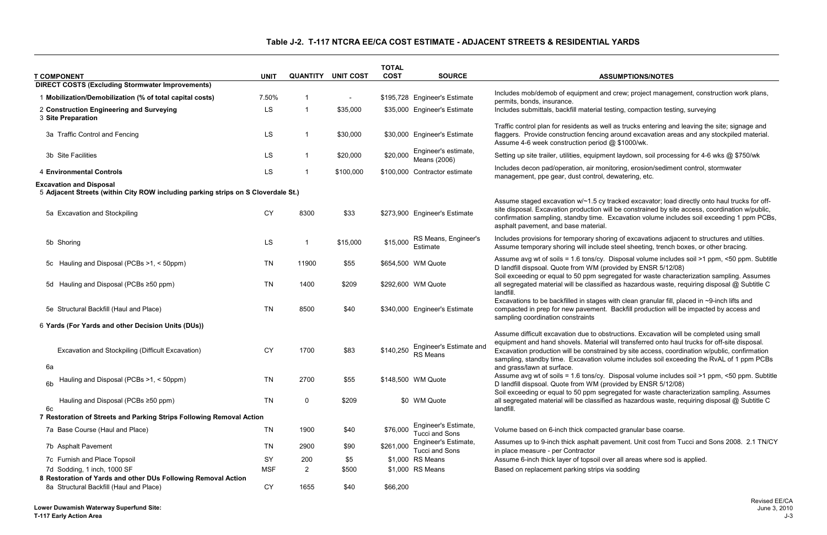# **Table J-2. T-117 NTCRA EE/CA COST ESTIMATE - ADJACENT STREETS & RESIDENTIAL YARDS**

#### **COST SOURCE ASSUMPTIONS/NOTES**

| <b>T COMPONENT</b>                                                                                                  | <b>UNIT</b> | <b>QUANTITY</b> | <b>UNIT COST</b>         | <b>TOTAL</b><br><b>COST</b> | <b>SOURCE</b>                                 | <b>ASSUMPTIONS/NOTES</b>                                                                                                                                                                                                                                                                                                                                                                                              |
|---------------------------------------------------------------------------------------------------------------------|-------------|-----------------|--------------------------|-----------------------------|-----------------------------------------------|-----------------------------------------------------------------------------------------------------------------------------------------------------------------------------------------------------------------------------------------------------------------------------------------------------------------------------------------------------------------------------------------------------------------------|
| <b>DIRECT COSTS (Excluding Stormwater Improvements)</b>                                                             |             |                 |                          |                             |                                               |                                                                                                                                                                                                                                                                                                                                                                                                                       |
| 1 Mobilization/Demobilization (% of total capital costs)                                                            | 7.50%       | -1              | $\overline{\phantom{a}}$ |                             | \$195,728 Engineer's Estimate                 | Includes mob/demob of equipment and crew; project management, construction work plans,<br>permits, bonds, insurance.                                                                                                                                                                                                                                                                                                  |
| 2 Construction Engineering and Surveying<br>3 Site Preparation                                                      | LS          | -1              | \$35,000                 |                             | \$35,000 Engineer's Estimate                  | Includes submittals, backfill material testing, compaction testing, surveying                                                                                                                                                                                                                                                                                                                                         |
| 3a Traffic Control and Fencing                                                                                      | <b>LS</b>   |                 | \$30,000                 |                             | \$30,000 Engineer's Estimate                  | Traffic control plan for residents as well as trucks entering and leaving the site; signage and<br>flaggers. Provide construction fencing around excavation areas and any stockpiled material.<br>Assume 4-6 week construction period @ \$1000/wk.                                                                                                                                                                    |
| 3b Site Facilities                                                                                                  | LS          |                 | \$20,000                 | \$20,000                    | Engineer's estimate,<br>Means (2006)          | Setting up site trailer, utilities, equipment laydown, soil processing for 4-6 wks @ \$750/wk                                                                                                                                                                                                                                                                                                                         |
| <b>4 Environmental Controls</b>                                                                                     | LS          |                 | \$100,000                |                             | \$100,000 Contractor estimate                 | Includes decon pad/operation, air monitoring, erosion/sediment control, stormwater<br>management, ppe gear, dust control, dewatering, etc.                                                                                                                                                                                                                                                                            |
| <b>Excavation and Disposal</b><br>5 Adjacent Streets (within City ROW including parking strips on S Cloverdale St.) |             |                 |                          |                             |                                               |                                                                                                                                                                                                                                                                                                                                                                                                                       |
|                                                                                                                     |             |                 |                          |                             |                                               | Assume staged excavation w/~1.5 cy tracked excavator; load directly onto haul trucks for off-                                                                                                                                                                                                                                                                                                                         |
| 5a Excavation and Stockpiling                                                                                       | <b>CY</b>   | 8300            | \$33                     |                             | \$273,900 Engineer's Estimate                 | site disposal. Excavation production will be constrained by site access, coordination w/public,<br>confirmation sampling, standby time. Excavation volume includes soil exceeding 1 ppm PCBs,<br>asphalt pavement, and base material.                                                                                                                                                                                 |
| 5b Shoring                                                                                                          | LS          |                 | \$15,000                 | \$15,000                    | RS Means, Engineer's<br>Estimate              | Includes provisions for temporary shoring of excavations adjacent to structures and utilties.<br>Assume temporary shoring will include steel sheeting, trench boxes, or other bracing.                                                                                                                                                                                                                                |
| 5c Hauling and Disposal (PCBs >1, < 50ppm)                                                                          | <b>TN</b>   | 11900           | \$55                     |                             | \$654,500 WM Quote                            | Assume avg wt of soils = 1.6 tons/cy. Disposal volume includes soil >1 ppm, <50 ppm. Subtitle<br>D landfill dispsoal. Quote from WM (provided by ENSR 5/12/08)<br>Soil exceeding or equal to 50 ppm segregated for waste characterization sampling. Assumes                                                                                                                                                           |
| 5d Hauling and Disposal (PCBs ≥50 ppm)                                                                              | <b>TN</b>   | 1400            | \$209                    |                             | \$292,600 WM Quote                            | all segregated material will be classified as hazardous waste, requiring disposal @ Subtitle C<br>landfill.                                                                                                                                                                                                                                                                                                           |
| 5e Structural Backfill (Haul and Place)                                                                             | <b>TN</b>   | 8500            | \$40                     |                             | \$340,000 Engineer's Estimate                 | Excavations to be backfilled in stages with clean granular fill, placed in ~9-inch lifts and<br>compacted in prep for new pavement. Backfill production will be impacted by access and<br>sampling coordination constraints                                                                                                                                                                                           |
| 6 Yards (For Yards and other Decision Units (DUs))                                                                  |             |                 |                          |                             |                                               |                                                                                                                                                                                                                                                                                                                                                                                                                       |
| Excavation and Stockpiling (Difficult Excavation)<br>6a                                                             | CY          | 1700            | \$83                     | \$140,250                   | Engineer's Estimate and<br><b>RS Means</b>    | Assume difficult excavation due to obstructions. Excavation will be completed using small<br>equipment and hand shovels. Material will transferred onto haul trucks for off-site disposal.<br>Excavation production will be constrained by site access, coordination w/public, confirmation<br>sampling, standby time. Excavation volume includes soil exceeding the RvAL of 1 ppm PCBs<br>and grass/lawn at surface. |
| Hauling and Disposal (PCBs >1, < 50ppm)<br>6 <sub>b</sub>                                                           | <b>TN</b>   | 2700            | \$55                     |                             | \$148,500 WM Quote                            | Assume avg wt of soils = 1.6 tons/cy. Disposal volume includes soil >1 ppm, <50 ppm. Subtitle<br>D landfill dispsoal. Quote from WM (provided by ENSR 5/12/08)<br>Soil exceeding or equal to 50 ppm segregated for waste characterization sampling. Assumes                                                                                                                                                           |
| Hauling and Disposal (PCBs ≥50 ppm)<br>6c                                                                           | <b>TN</b>   | $\mathbf 0$     | \$209                    |                             | \$0 WM Quote                                  | all segregated material will be classified as hazardous waste, requiring disposal @ Subtitle C<br>landfill.                                                                                                                                                                                                                                                                                                           |
| 7 Restoration of Streets and Parking Strips Following Removal Action                                                |             |                 |                          |                             |                                               |                                                                                                                                                                                                                                                                                                                                                                                                                       |
| 7a Base Course (Haul and Place)                                                                                     | <b>TN</b>   | 1900            | \$40                     | \$76,000                    | Engineer's Estimate,<br><b>Tucci and Sons</b> | Volume based on 6-inch thick compacted granular base coarse.                                                                                                                                                                                                                                                                                                                                                          |
| 7b Asphalt Pavement                                                                                                 | <b>TN</b>   | 2900            | \$90                     | \$261,000                   | Engineer's Estimate,<br>Tucci and Sons        | Assumes up to 9-inch thick asphalt pavement. Unit cost from Tucci and Sons 2008. 2.1 TN/CY<br>in place measure - per Contractor                                                                                                                                                                                                                                                                                       |
| 7c Furnish and Place Topsoil                                                                                        | SY          | 200             | \$5                      |                             | \$1,000 RS Means                              | Assume 6-inch thick layer of topsoil over all areas where sod is applied.                                                                                                                                                                                                                                                                                                                                             |
| 7d Sodding, 1 inch, 1000 SF                                                                                         | <b>MSF</b>  | $\overline{2}$  | \$500                    |                             | \$1,000 RS Means                              | Based on replacement parking strips via sodding                                                                                                                                                                                                                                                                                                                                                                       |
| 8 Restoration of Yards and other DUs Following Removal Action<br>8a Structural Backfill (Haul and Place)            | <b>CY</b>   | 1655            | \$40                     | \$66,200                    |                                               |                                                                                                                                                                                                                                                                                                                                                                                                                       |
|                                                                                                                     |             |                 |                          |                             |                                               |                                                                                                                                                                                                                                                                                                                                                                                                                       |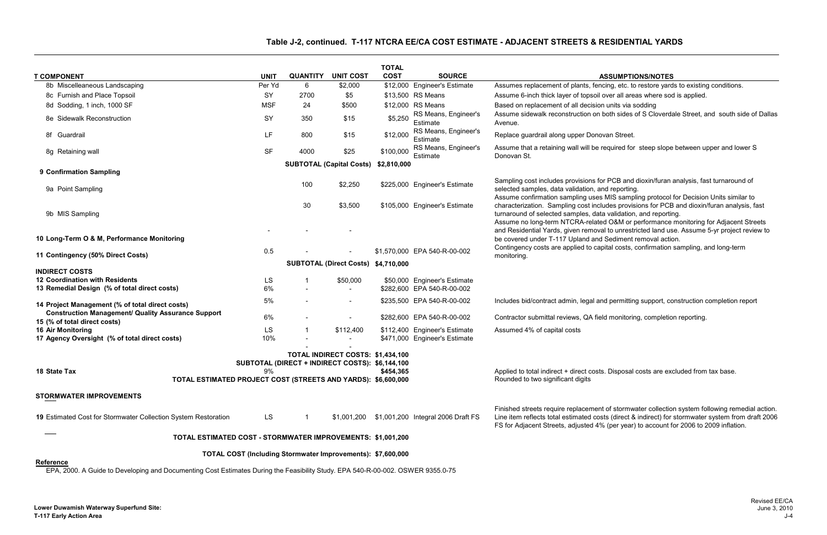#### **SSUMPTIONS/NOTES**

- ing, etc. to restore yards to existing conditions.
- ver all areas where sod is applied.
- 
- oth sides of S Cloverdale Street, and south side of Dallas

- equired for steep slope between upper and lower S
- I reporting.
- MIS sampling protocol for Decision Units similar to des provisions for PCB and dioxin/furan analysis, fast validation, and reporting.
- I O&M or performance monitoring for Adjacent Streets I to unrestricted land use. Assume 5-yr project review to Sediment removal action.<br>ital costs, confirmation sampling, and long-term
- 
- **permitting support, construction completion report**  $\theta$
- 
- **Disposal costs are excluded from tax base.**
- of stormwater collection system following remedial action. ts (direct & indirect) for stormwater system from draft 2006 (per year) to account for 2006 to 2009 inflation.

### **Table J-2, continued. T-117 NTCRA EE/CA COST ESTIMATE - ADJACENT STREETS & RESIDENTIAL YARDS**

| <b>T COMPONENT</b>                                                                                                              |                       | <b>QUANTITY</b> | <b>UNIT COST</b>                                                                     | <b>TOTAL</b><br><b>COST</b> | <b>SOURCE</b>                                  | <b>ASSUMPTIONS/NOTES</b>                                                                                                                                                                                                                                                        |
|---------------------------------------------------------------------------------------------------------------------------------|-----------------------|-----------------|--------------------------------------------------------------------------------------|-----------------------------|------------------------------------------------|---------------------------------------------------------------------------------------------------------------------------------------------------------------------------------------------------------------------------------------------------------------------------------|
| 8b Miscelleaneous Landscaping                                                                                                   | <b>UNIT</b><br>Per Yd | 6               | \$2,000                                                                              |                             | \$12,000 Engineer's Estimate                   | Assumes replacement of plants, fencing, etc. to restore yards to existing conditions.                                                                                                                                                                                           |
| 8c Furnish and Place Topsoil                                                                                                    | SY                    | 2700            | \$5                                                                                  |                             | \$13,500 RS Means                              | Assume 6-inch thick layer of topsoil over all areas where sod is applied.                                                                                                                                                                                                       |
| 8d Sodding, 1 inch, 1000 SF                                                                                                     | <b>MSF</b>            | 24              | \$500                                                                                |                             | \$12,000 RS Means                              | Based on replacement of all decision units via sodding                                                                                                                                                                                                                          |
| 8e Sidewalk Reconstruction                                                                                                      | SY                    | 350             | \$15                                                                                 | \$5,250                     | RS Means, Engineer's<br>Estimate               | Assume sidewalk reconstruction on both sides of S Cloverdale Street, and south side of<br>Avenue.                                                                                                                                                                               |
| 8f Guardrail                                                                                                                    | LF                    | 800             | \$15                                                                                 | \$12,000                    | RS Means, Engineer's<br>Estimate               | Replace guardrail along upper Donovan Street.                                                                                                                                                                                                                                   |
| 8g Retaining wall                                                                                                               | <b>SF</b>             | 4000            | \$25                                                                                 | \$100,000                   | RS Means, Engineer's<br>Estimate               | Assume that a retaining wall will be required for steep slope between upper and lower &<br>Donovan St.                                                                                                                                                                          |
|                                                                                                                                 |                       |                 | <b>SUBTOTAL (Capital Costs)</b>                                                      | \$2,810,000                 |                                                |                                                                                                                                                                                                                                                                                 |
| 9 Confirmation Sampling                                                                                                         |                       |                 |                                                                                      |                             |                                                |                                                                                                                                                                                                                                                                                 |
| 9a Point Sampling                                                                                                               |                       | 100             | \$2,250                                                                              |                             | \$225,000 Engineer's Estimate                  | Sampling cost includes provisions for PCB and dioxin/furan analysis, fast turnaround of<br>selected samples, data validation, and reporting.<br>Assume confirmation sampling uses MIS sampling protocol for Decision Units similar to                                           |
| 9b MIS Sampling                                                                                                                 |                       | 30              | \$3,500                                                                              |                             | \$105,000 Engineer's Estimate                  | characterization. Sampling cost includes provisions for PCB and dioxin/furan analysis,<br>turnaround of selected samples, data validation, and reporting.<br>Assume no long-term NTCRA-related O&M or performance monitoring for Adjacent Str                                   |
| 10 Long-Term O & M, Performance Monitoring                                                                                      |                       |                 |                                                                                      |                             |                                                | and Residential Yards, given removal to unrestricted land use. Assume 5-yr project revi<br>be covered under T-117 Upland and Sediment removal action.                                                                                                                           |
| 11 Contingency (50% Direct Costs)                                                                                               | 0.5                   |                 |                                                                                      |                             | \$1,570,000 EPA 540-R-00-002                   | Contingency costs are applied to capital costs, confirmation sampling, and long-term<br>monitoring.                                                                                                                                                                             |
|                                                                                                                                 |                       |                 | SUBTOTAL (Direct Costs) \$4,710,000                                                  |                             |                                                |                                                                                                                                                                                                                                                                                 |
| <b>INDIRECT COSTS</b><br><b>12 Coordination with Residents</b>                                                                  | LS                    |                 | \$50,000                                                                             |                             | \$50,000 Engineer's Estimate                   |                                                                                                                                                                                                                                                                                 |
| 13 Remedial Design (% of total direct costs)                                                                                    | 6%                    |                 |                                                                                      |                             | \$282,600 EPA 540-R-00-002                     |                                                                                                                                                                                                                                                                                 |
|                                                                                                                                 | 5%                    |                 |                                                                                      |                             | \$235,500 EPA 540-R-00-002                     | Includes bid/contract admin, legal and permitting support, construction completion report                                                                                                                                                                                       |
| 14 Project Management (% of total direct costs)                                                                                 |                       |                 |                                                                                      |                             |                                                |                                                                                                                                                                                                                                                                                 |
| <b>Construction Management/ Quality Assurance Support</b><br>15 (% of total direct costs)                                       | 6%                    |                 |                                                                                      |                             | \$282,600 EPA 540-R-00-002                     | Contractor submittal reviews, QA field monitoring, completion reporting.                                                                                                                                                                                                        |
| <b>16 Air Monitoring</b>                                                                                                        | LS                    |                 | \$112,400                                                                            |                             | \$112,400 Engineer's Estimate                  | Assumed 4% of capital costs                                                                                                                                                                                                                                                     |
| 17 Agency Oversight (% of total direct costs)                                                                                   | 10%                   |                 |                                                                                      |                             | \$471,000 Engineer's Estimate                  |                                                                                                                                                                                                                                                                                 |
| 18 State Tax<br>TOTAL ESTIMATED PROJECT COST (STREETS AND YARDS): \$6,600,000                                                   |                       |                 | TOTAL INDIRECT COSTS: \$1,434,100<br>SUBTOTAL (DIRECT + INDIRECT COSTS): \$6,144,100 | \$454,365                   |                                                | Applied to total indirect + direct costs. Disposal costs are excluded from tax base.<br>Rounded to two significant digits                                                                                                                                                       |
| <b>STORMWATER IMPROVEMENTS</b>                                                                                                  |                       |                 |                                                                                      |                             |                                                |                                                                                                                                                                                                                                                                                 |
|                                                                                                                                 |                       |                 |                                                                                      |                             |                                                |                                                                                                                                                                                                                                                                                 |
| 19 Estimated Cost for Stormwater Collection System Restoration                                                                  | LS                    |                 |                                                                                      |                             | \$1,001,200 \$1,001,200 Integral 2006 Draft FS | Finished streets require replacement of stormwater collection system following remedia<br>Line item reflects total estimated costs (direct & indirect) for stormwater system from dra<br>FS for Adjacent Streets, adjusted 4% (per year) to account for 2006 to 2009 inflation. |
| TOTAL ESTIMATED COST - STORMWATER IMPROVEMENTS: \$1,001,200                                                                     |                       |                 |                                                                                      |                             |                                                |                                                                                                                                                                                                                                                                                 |
| <b>Reference</b>                                                                                                                |                       |                 | TOTAL COST (Including Stormwater Improvements): \$7,600,000                          |                             |                                                |                                                                                                                                                                                                                                                                                 |
| EPA, 2000. A Guide to Developing and Documenting Cost Estimates During the Feasibility Study. EPA 540-R-00-002. OSWER 9355.0-75 |                       |                 |                                                                                      |                             |                                                |                                                                                                                                                                                                                                                                                 |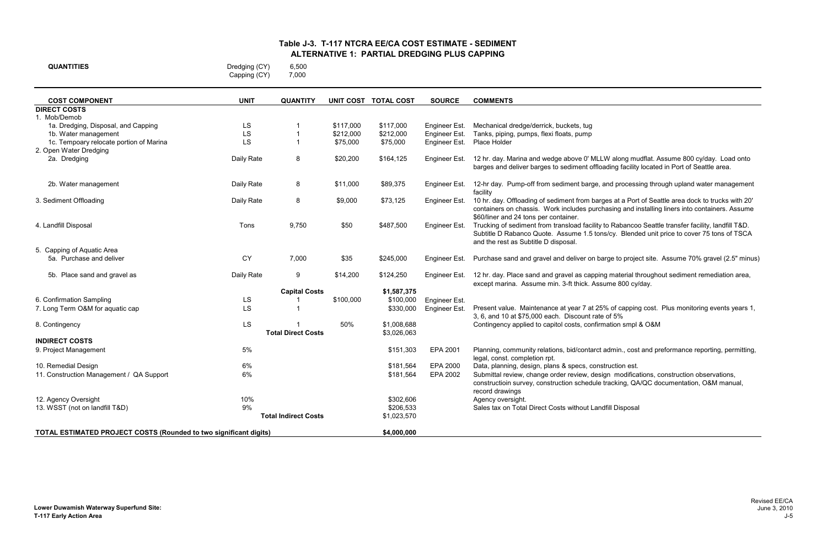W along mudflat. Assume 800 cy/day. Load onto ading facility located in Port of Seattle area.

and processing through upland water management

ges at a Port of Seattle area dock to trucks with 20' hasing and installing liners into containers. Assume

to Rabancoo Seattle transfer facility, landfill T&D. s/cy. Blended unit price to cover 75 tons of TSCA

rge to project site. Assume 70% gravel (2.5" minus)

g material throughout sediment remediation area, ume 800 cy/day.

% of capping cost. Plus monitoring events years 1, : of 5%<br>nation smpl & O&M

admin., cost and preformance reporting, permitting,

gn modifications, construction observations, tracking, QA/QC documentation, O&M manual,

| <b>QUANTITIES</b> | Dredging (CY) | 6,500 |
|-------------------|---------------|-------|
|                   | Capping (CY)  | 7,000 |

| <b>COST COMPONENT</b>                                                    | <b>UNIT</b> | <b>QUANTITY</b>             |           | UNIT COST TOTAL COST | <b>SOURCE</b> | <b>COMMENTS</b>                                                                                                                  |
|--------------------------------------------------------------------------|-------------|-----------------------------|-----------|----------------------|---------------|----------------------------------------------------------------------------------------------------------------------------------|
| <b>DIRECT COSTS</b>                                                      |             |                             |           |                      |               |                                                                                                                                  |
| 1. Mob/Demob                                                             |             |                             |           |                      |               |                                                                                                                                  |
| 1a. Dredging, Disposal, and Capping                                      | LS          |                             | \$117,000 | \$117,000            | Engineer Est. | Mechanical dredge/derrick, buckets, tug                                                                                          |
| 1b. Water management                                                     | LS          | $\overline{\mathbf{1}}$     | \$212,000 | \$212,000            | Engineer Est. | Tanks, piping, pumps, flexi floats, pump                                                                                         |
| 1c. Tempoary relocate portion of Marina                                  | LS          | $\overline{1}$              | \$75,000  | \$75,000             | Engineer Est. | Place Holder                                                                                                                     |
| 2. Open Water Dredging                                                   |             |                             |           |                      |               |                                                                                                                                  |
| 2a. Dredging                                                             | Daily Rate  | 8                           | \$20,200  | \$164,125            | Engineer Est. | 12 hr. day. Marina and wedge above 0' MLLW along mudflat. A<br>barges and deliver barges to sediment offloading facility located |
|                                                                          |             |                             |           |                      |               |                                                                                                                                  |
| 2b. Water management                                                     | Daily Rate  | 8                           | \$11,000  | \$89,375             | Engineer Est. | 12-hr day. Pump-off from sediment barge, and processing thro                                                                     |
|                                                                          |             |                             |           |                      |               | facility                                                                                                                         |
| 3. Sediment Offloading                                                   | Daily Rate  | 8                           | \$9,000   | \$73,125             | Engineer Est. | 10 hr. day. Offloading of sediment from barges at a Port of Sea                                                                  |
|                                                                          |             |                             |           |                      |               | containers on chassis. Work includes purchasing and installing                                                                   |
|                                                                          |             |                             |           |                      |               | \$60/liner and 24 tons per container.                                                                                            |
| 4. Landfill Disposal                                                     | Tons        | 9,750                       | \$50      | \$487,500            | Engineer Est. | Trucking of sediment from transload facility to Rabancoo Seattl                                                                  |
|                                                                          |             |                             |           |                      |               | Subtitle D Rabanco Quote. Assume 1.5 tons/cy. Blended unit                                                                       |
| 5. Capping of Aquatic Area                                               |             |                             |           |                      |               | and the rest as Subtitle D disposal.                                                                                             |
| 5a. Purchase and deliver                                                 | <b>CY</b>   | 7,000                       | \$35      | \$245,000            | Engineer Est. | Purchase sand and gravel and deliver on barge to project site.                                                                   |
|                                                                          |             |                             |           |                      |               |                                                                                                                                  |
| 5b. Place sand and gravel as                                             | Daily Rate  | 9                           | \$14,200  | \$124,250            | Engineer Est. | 12 hr. day. Place sand and gravel as capping material througho                                                                   |
|                                                                          |             |                             |           |                      |               | except marina. Assume min. 3-ft thick. Assume 800 cy/day.                                                                        |
|                                                                          |             | <b>Capital Costs</b>        |           | \$1,587,375          |               |                                                                                                                                  |
| 6. Confirmation Sampling                                                 | LS          |                             | \$100,000 | \$100,000            | Engineer Est. |                                                                                                                                  |
| 7. Long Term O&M for aquatic cap                                         | <b>LS</b>   |                             |           | \$330,000            | Engineer Est. | Present value. Maintenance at year 7 at 25% of capping cost.<br>3, 6, and 10 at \$75,000 each. Discount rate of 5%               |
| 8. Contingency                                                           | LS          |                             | 50%       | \$1,008,688          |               | Contingency applied to capitol costs, confirmation smpl & O&M                                                                    |
|                                                                          |             | <b>Total Direct Costs</b>   |           | \$3,026,063          |               |                                                                                                                                  |
| <b>INDIRECT COSTS</b>                                                    |             |                             |           |                      |               |                                                                                                                                  |
| 9. Project Management                                                    | $5\%$       |                             |           | \$151,303            | EPA 2001      | Planning, community relations, bid/contarct admin., cost and pr                                                                  |
|                                                                          |             |                             |           |                      |               | legal, const. completion rpt.                                                                                                    |
| 10. Remedial Design                                                      | 6%          |                             |           | \$181,564            | EPA 2000      | Data, planning, design, plans & specs, construction est.                                                                         |
| 11. Construction Management / QA Support                                 | 6%          |                             |           | \$181,564            | EPA 2002      | Submittal review, change order review, design modifications, o                                                                   |
|                                                                          |             |                             |           |                      |               | constructioin survey, construction schedule tracking, QA/QC do                                                                   |
|                                                                          |             |                             |           |                      |               | record drawings                                                                                                                  |
| 12. Agency Oversight                                                     | 10%         |                             |           | \$302,606            |               | Agency oversight.                                                                                                                |
| 13. WSST (not on landfill T&D)                                           | 9%          | <b>Total Indirect Costs</b> |           | \$206,533            |               | Sales tax on Total Direct Costs without Landfill Disposal                                                                        |
|                                                                          |             |                             |           | \$1,023,570          |               |                                                                                                                                  |
| <b>TOTAL ESTIMATED PROJECT COSTS (Rounded to two significant digits)</b> |             |                             |           | \$4,000,000          |               |                                                                                                                                  |
|                                                                          |             |                             |           |                      |               |                                                                                                                                  |

### **Table J-3. T-117 NTCRA EE/CA COST ESTIMATE - SEDIMENT ALTERNATIVE 1: PARTIAL DREDGING PLUS CAPPING**